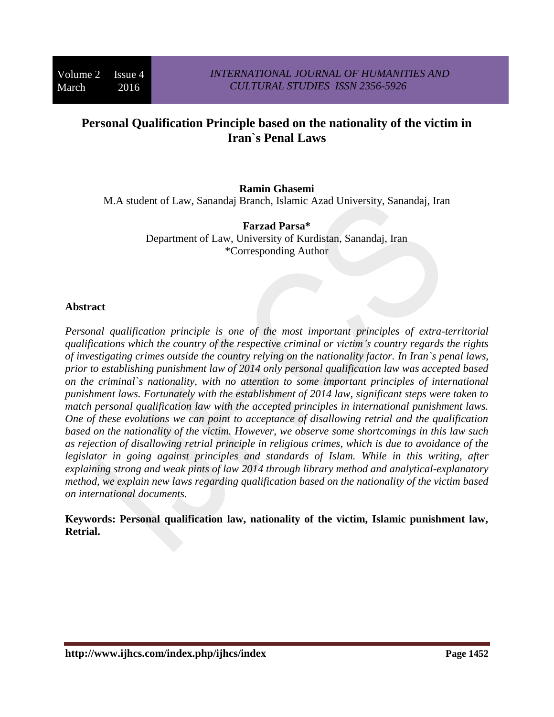# **Personal Qualification Principle based on the nationality of the victim in Iran`s Penal Laws**

### **Ramin Ghasemi**

M.A student of Law, Sanandaj Branch, Islamic Azad University, Sanandaj, Iran

**Farzad Parsa\*** Department of Law, University of Kurdistan, Sanandaj, Iran \*Corresponding Author

#### **Abstract**

*Personal qualification principle is one of the most important principles of extra-territorial qualifications which the country of the respective criminal or victim's country regards the rights of investigating crimes outside the country relying on the nationality factor. In Iran`s penal laws, prior to establishing punishment law of 2014 only personal qualification law was accepted based on the criminal`s nationality, with no attention to some important principles of international punishment laws. Fortunately with the establishment of 2014 law, significant steps were taken to match personal qualification law with the accepted principles in international punishment laws. One of these evolutions we can point to acceptance of disallowing retrial and the qualification based on the nationality of the victim. However, we observe some shortcomings in this law such as rejection of disallowing retrial principle in religious crimes, which is due to avoidance of the legislator in going against principles and standards of Islam. While in this writing, after explaining strong and weak pints of law 2014 through library method and analytical-explanatory method, we explain new laws regarding qualification based on the nationality of the victim based on international documents.*

**Keywords: Personal qualification law, nationality of the victim, Islamic punishment law, Retrial.**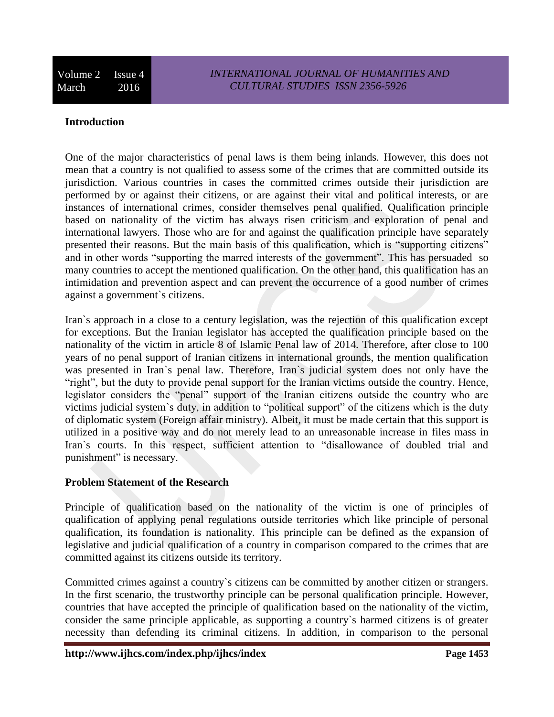#### **Introduction**

One of the major characteristics of penal laws is them being inlands. However, this does not mean that a country is not qualified to assess some of the crimes that are committed outside its jurisdiction. Various countries in cases the committed crimes outside their jurisdiction are performed by or against their citizens, or are against their vital and political interests, or are instances of international crimes, consider themselves penal qualified. Qualification principle based on nationality of the victim has always risen criticism and exploration of penal and international lawyers. Those who are for and against the qualification principle have separately presented their reasons. But the main basis of this qualification, which is "supporting citizens" and in other words "supporting the marred interests of the government". This has persuaded so many countries to accept the mentioned qualification. On the other hand, this qualification has an intimidation and prevention aspect and can prevent the occurrence of a good number of crimes against a government`s citizens.

Iran`s approach in a close to a century legislation, was the rejection of this qualification except for exceptions. But the Iranian legislator has accepted the qualification principle based on the nationality of the victim in article 8 of Islamic Penal law of 2014. Therefore, after close to 100 years of no penal support of Iranian citizens in international grounds, the mention qualification was presented in Iran`s penal law. Therefore, Iran`s judicial system does not only have the "right", but the duty to provide penal support for the Iranian victims outside the country. Hence, legislator considers the "penal" support of the Iranian citizens outside the country who are victims judicial system`s duty, in addition to "political support" of the citizens which is the duty of diplomatic system (Foreign affair ministry). Albeit, it must be made certain that this support is utilized in a positive way and do not merely lead to an unreasonable increase in files mass in Iran`s courts. In this respect, sufficient attention to "disallowance of doubled trial and punishment" is necessary.

#### **Problem Statement of the Research**

Principle of qualification based on the nationality of the victim is one of principles of qualification of applying penal regulations outside territories which like principle of personal qualification, its foundation is nationality. This principle can be defined as the expansion of legislative and judicial qualification of a country in comparison compared to the crimes that are committed against its citizens outside its territory.

Committed crimes against a country`s citizens can be committed by another citizen or strangers. In the first scenario, the trustworthy principle can be personal qualification principle. However, countries that have accepted the principle of qualification based on the nationality of the victim, consider the same principle applicable, as supporting a country`s harmed citizens is of greater necessity than defending its criminal citizens. In addition, in comparison to the personal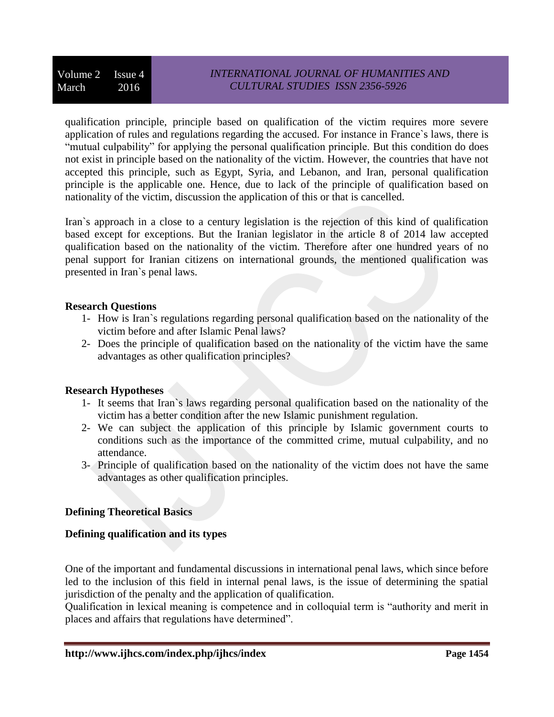qualification principle, principle based on qualification of the victim requires more severe application of rules and regulations regarding the accused. For instance in France`s laws, there is "mutual culpability" for applying the personal qualification principle. But this condition do does not exist in principle based on the nationality of the victim. However, the countries that have not accepted this principle, such as Egypt, Syria, and Lebanon, and Iran, personal qualification principle is the applicable one. Hence, due to lack of the principle of qualification based on nationality of the victim, discussion the application of this or that is cancelled.

Iran`s approach in a close to a century legislation is the rejection of this kind of qualification based except for exceptions. But the Iranian legislator in the article 8 of 2014 law accepted qualification based on the nationality of the victim. Therefore after one hundred years of no penal support for Iranian citizens on international grounds, the mentioned qualification was presented in Iran`s penal laws.

### **Research Questions**

- 1- How is Iran`s regulations regarding personal qualification based on the nationality of the victim before and after Islamic Penal laws?
- 2- Does the principle of qualification based on the nationality of the victim have the same advantages as other qualification principles?

### **Research Hypotheses**

- 1- It seems that Iran`s laws regarding personal qualification based on the nationality of the victim has a better condition after the new Islamic punishment regulation.
- 2- We can subject the application of this principle by Islamic government courts to conditions such as the importance of the committed crime, mutual culpability, and no attendance.
- 3- Principle of qualification based on the nationality of the victim does not have the same advantages as other qualification principles.

# **Defining Theoretical Basics**

# **Defining qualification and its types**

One of the important and fundamental discussions in international penal laws, which since before led to the inclusion of this field in internal penal laws, is the issue of determining the spatial jurisdiction of the penalty and the application of qualification.

Qualification in lexical meaning is competence and in colloquial term is "authority and merit in places and affairs that regulations have determined".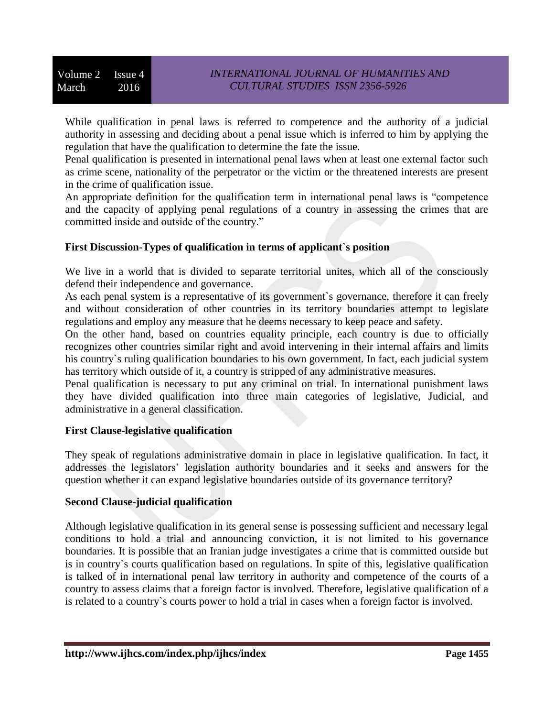While qualification in penal laws is referred to competence and the authority of a judicial authority in assessing and deciding about a penal issue which is inferred to him by applying the regulation that have the qualification to determine the fate the issue.

Penal qualification is presented in international penal laws when at least one external factor such as crime scene, nationality of the perpetrator or the victim or the threatened interests are present in the crime of qualification issue.

An appropriate definition for the qualification term in international penal laws is "competence and the capacity of applying penal regulations of a country in assessing the crimes that are committed inside and outside of the country."

### **First Discussion-Types of qualification in terms of applicant`s position**

We live in a world that is divided to separate territorial unites, which all of the consciously defend their independence and governance.

As each penal system is a representative of its government`s governance, therefore it can freely and without consideration of other countries in its territory boundaries attempt to legislate regulations and employ any measure that he deems necessary to keep peace and safety.

On the other hand, based on countries equality principle, each country is due to officially recognizes other countries similar right and avoid intervening in their internal affairs and limits his country`s ruling qualification boundaries to his own government. In fact, each judicial system has territory which outside of it, a country is stripped of any administrative measures.

Penal qualification is necessary to put any criminal on trial. In international punishment laws they have divided qualification into three main categories of legislative, Judicial, and administrative in a general classification.

# **First Clause-legislative qualification**

They speak of regulations administrative domain in place in legislative qualification. In fact, it addresses the legislators' legislation authority boundaries and it seeks and answers for the question whether it can expand legislative boundaries outside of its governance territory?

# **Second Clause-judicial qualification**

Although legislative qualification in its general sense is possessing sufficient and necessary legal conditions to hold a trial and announcing conviction, it is not limited to his governance boundaries. It is possible that an Iranian judge investigates a crime that is committed outside but is in country`s courts qualification based on regulations. In spite of this, legislative qualification is talked of in international penal law territory in authority and competence of the courts of a country to assess claims that a foreign factor is involved. Therefore, legislative qualification of a is related to a country`s courts power to hold a trial in cases when a foreign factor is involved.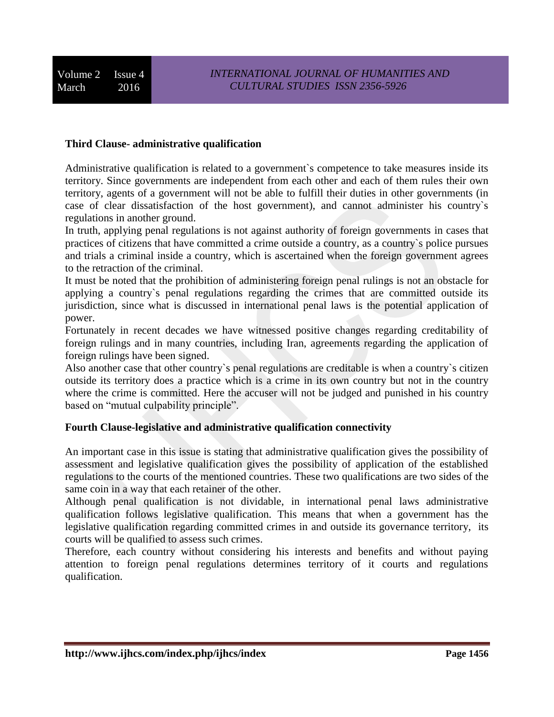### **Third Clause- administrative qualification**

Administrative qualification is related to a government`s competence to take measures inside its territory. Since governments are independent from each other and each of them rules their own territory, agents of a government will not be able to fulfill their duties in other governments (in case of clear dissatisfaction of the host government), and cannot administer his country`s regulations in another ground.

In truth, applying penal regulations is not against authority of foreign governments in cases that practices of citizens that have committed a crime outside a country, as a country`s police pursues and trials a criminal inside a country, which is ascertained when the foreign government agrees to the retraction of the criminal.

It must be noted that the prohibition of administering foreign penal rulings is not an obstacle for applying a country`s penal regulations regarding the crimes that are committed outside its jurisdiction, since what is discussed in international penal laws is the potential application of power.

Fortunately in recent decades we have witnessed positive changes regarding creditability of foreign rulings and in many countries, including Iran, agreements regarding the application of foreign rulings have been signed.

Also another case that other country`s penal regulations are creditable is when a country`s citizen outside its territory does a practice which is a crime in its own country but not in the country where the crime is committed. Here the accuser will not be judged and punished in his country based on "mutual culpability principle".

#### **Fourth Clause-legislative and administrative qualification connectivity**

An important case in this issue is stating that administrative qualification gives the possibility of assessment and legislative qualification gives the possibility of application of the established regulations to the courts of the mentioned countries. These two qualifications are two sides of the same coin in a way that each retainer of the other.

Although penal qualification is not dividable, in international penal laws administrative qualification follows legislative qualification. This means that when a government has the legislative qualification regarding committed crimes in and outside its governance territory, its courts will be qualified to assess such crimes.

Therefore, each country without considering his interests and benefits and without paying attention to foreign penal regulations determines territory of it courts and regulations qualification.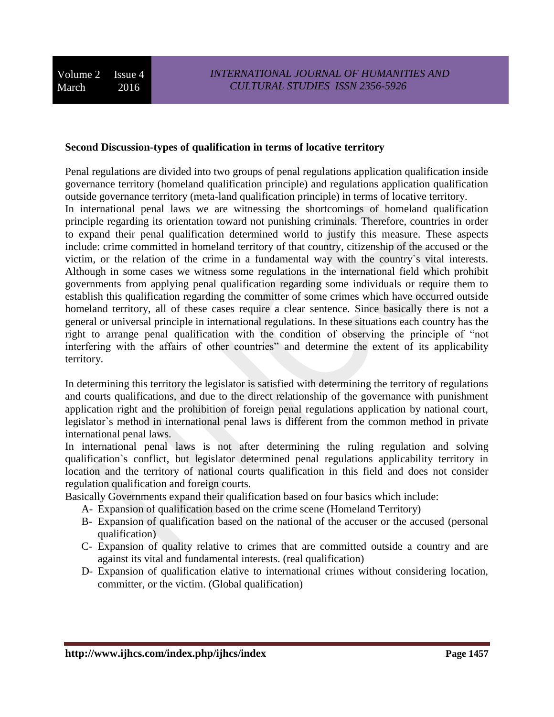#### **Second Discussion-types of qualification in terms of locative territory**

Penal regulations are divided into two groups of penal regulations application qualification inside governance territory (homeland qualification principle) and regulations application qualification outside governance territory (meta-land qualification principle) in terms of locative territory.

In international penal laws we are witnessing the shortcomings of homeland qualification principle regarding its orientation toward not punishing criminals. Therefore, countries in order to expand their penal qualification determined world to justify this measure. These aspects include: crime committed in homeland territory of that country, citizenship of the accused or the victim, or the relation of the crime in a fundamental way with the country`s vital interests. Although in some cases we witness some regulations in the international field which prohibit governments from applying penal qualification regarding some individuals or require them to establish this qualification regarding the committer of some crimes which have occurred outside homeland territory, all of these cases require a clear sentence. Since basically there is not a general or universal principle in international regulations. In these situations each country has the right to arrange penal qualification with the condition of observing the principle of "not interfering with the affairs of other countries" and determine the extent of its applicability territory.

In determining this territory the legislator is satisfied with determining the territory of regulations and courts qualifications, and due to the direct relationship of the governance with punishment application right and the prohibition of foreign penal regulations application by national court, legislator`s method in international penal laws is different from the common method in private international penal laws.

In international penal laws is not after determining the ruling regulation and solving qualification`s conflict, but legislator determined penal regulations applicability territory in location and the territory of national courts qualification in this field and does not consider regulation qualification and foreign courts.

Basically Governments expand their qualification based on four basics which include:

- A- Expansion of qualification based on the crime scene (Homeland Territory)
- B- Expansion of qualification based on the national of the accuser or the accused (personal qualification)
- C- Expansion of quality relative to crimes that are committed outside a country and are against its vital and fundamental interests. (real qualification)
- D- Expansion of qualification elative to international crimes without considering location, committer, or the victim. (Global qualification)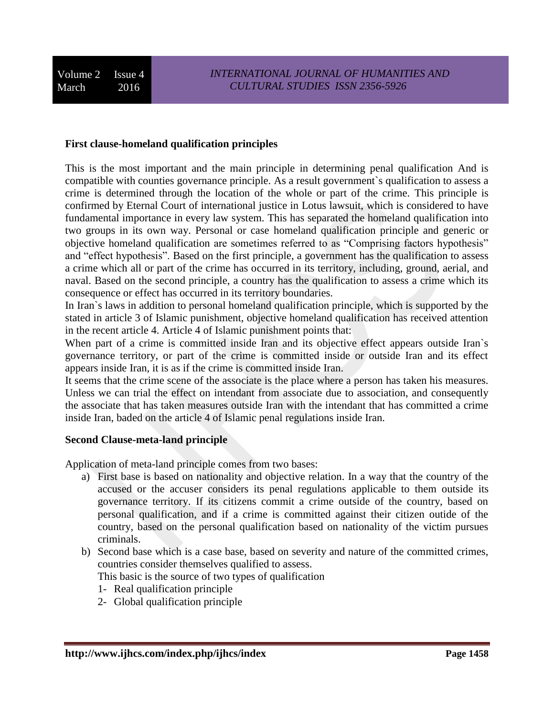#### **First clause-homeland qualification principles**

This is the most important and the main principle in determining penal qualification And is compatible with counties governance principle. As a result government`s qualification to assess a crime is determined through the location of the whole or part of the crime. This principle is confirmed by Eternal Court of international justice in Lotus lawsuit, which is considered to have fundamental importance in every law system. This has separated the homeland qualification into two groups in its own way. Personal or case homeland qualification principle and generic or objective homeland qualification are sometimes referred to as "Comprising factors hypothesis" and "effect hypothesis". Based on the first principle, a government has the qualification to assess a crime which all or part of the crime has occurred in its territory, including, ground, aerial, and naval. Based on the second principle, a country has the qualification to assess a crime which its consequence or effect has occurred in its territory boundaries.

In Iran's laws in addition to personal homeland qualification principle, which is supported by the stated in article 3 of Islamic punishment, objective homeland qualification has received attention in the recent article 4. Article 4 of Islamic punishment points that:

When part of a crime is committed inside Iran and its objective effect appears outside Iran's governance territory, or part of the crime is committed inside or outside Iran and its effect appears inside Iran, it is as if the crime is committed inside Iran.

It seems that the crime scene of the associate is the place where a person has taken his measures. Unless we can trial the effect on intendant from associate due to association, and consequently the associate that has taken measures outside Iran with the intendant that has committed a crime inside Iran, baded on the article 4 of Islamic penal regulations inside Iran.

#### **Second Clause-meta-land principle**

Application of meta-land principle comes from two bases:

- a) First base is based on nationality and objective relation. In a way that the country of the accused or the accuser considers its penal regulations applicable to them outside its governance territory. If its citizens commit a crime outside of the country, based on personal qualification, and if a crime is committed against their citizen outide of the country, based on the personal qualification based on nationality of the victim pursues criminals.
- b) Second base which is a case base, based on severity and nature of the committed crimes, countries consider themselves qualified to assess.

This basic is the source of two types of qualification

- 1- Real qualification principle
- 2- Global qualification principle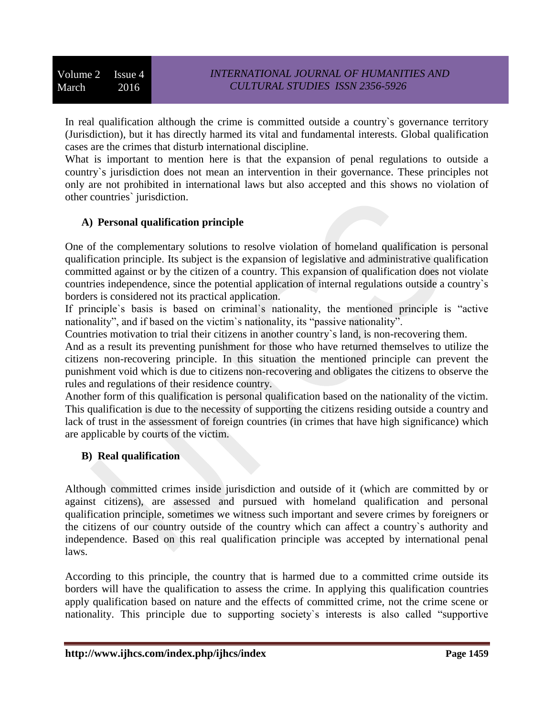In real qualification although the crime is committed outside a country`s governance territory (Jurisdiction), but it has directly harmed its vital and fundamental interests. Global qualification cases are the crimes that disturb international discipline.

What is important to mention here is that the expansion of penal regulations to outside a country`s jurisdiction does not mean an intervention in their governance. These principles not only are not prohibited in international laws but also accepted and this shows no violation of other countries` jurisdiction.

# **A) Personal qualification principle**

One of the complementary solutions to resolve violation of homeland qualification is personal qualification principle. Its subject is the expansion of legislative and administrative qualification committed against or by the citizen of a country. This expansion of qualification does not violate countries independence, since the potential application of internal regulations outside a country`s borders is considered not its practical application.

If principle`s basis is based on criminal`s nationality, the mentioned principle is "active nationality", and if based on the victim`s nationality, its "passive nationality".

Countries motivation to trial their citizens in another country`s land, is non-recovering them.

And as a result its preventing punishment for those who have returned themselves to utilize the citizens non-recovering principle. In this situation the mentioned principle can prevent the punishment void which is due to citizens non-recovering and obligates the citizens to observe the rules and regulations of their residence country.

Another form of this qualification is personal qualification based on the nationality of the victim. This qualification is due to the necessity of supporting the citizens residing outside a country and lack of trust in the assessment of foreign countries (in crimes that have high significance) which are applicable by courts of the victim.

# **B) Real qualification**

Although committed crimes inside jurisdiction and outside of it (which are committed by or against citizens), are assessed and pursued with homeland qualification and personal qualification principle, sometimes we witness such important and severe crimes by foreigners or the citizens of our country outside of the country which can affect a country`s authority and independence. Based on this real qualification principle was accepted by international penal laws.

According to this principle, the country that is harmed due to a committed crime outside its borders will have the qualification to assess the crime. In applying this qualification countries apply qualification based on nature and the effects of committed crime, not the crime scene or nationality. This principle due to supporting society`s interests is also called "supportive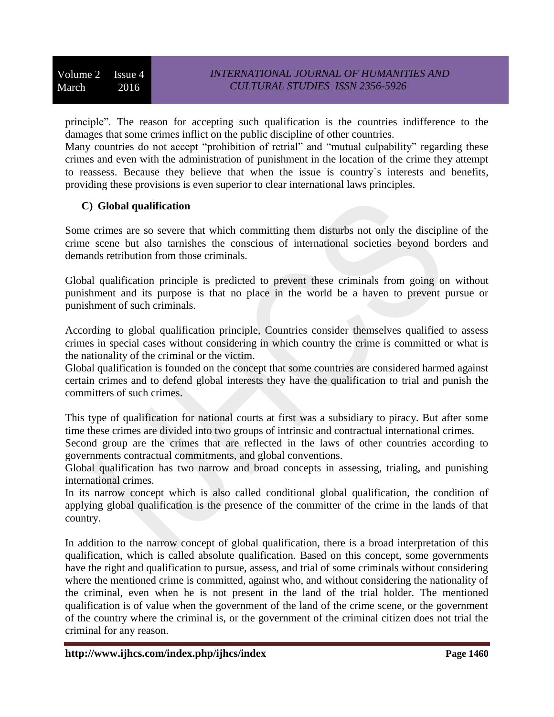principle". The reason for accepting such qualification is the countries indifference to the damages that some crimes inflict on the public discipline of other countries.

Many countries do not accept "prohibition of retrial" and "mutual culpability" regarding these crimes and even with the administration of punishment in the location of the crime they attempt to reassess. Because they believe that when the issue is country`s interests and benefits, providing these provisions is even superior to clear international laws principles.

# **C) Global qualification**

Some crimes are so severe that which committing them disturbs not only the discipline of the crime scene but also tarnishes the conscious of international societies beyond borders and demands retribution from those criminals.

Global qualification principle is predicted to prevent these criminals from going on without punishment and its purpose is that no place in the world be a haven to prevent pursue or punishment of such criminals.

According to global qualification principle, Countries consider themselves qualified to assess crimes in special cases without considering in which country the crime is committed or what is the nationality of the criminal or the victim.

Global qualification is founded on the concept that some countries are considered harmed against certain crimes and to defend global interests they have the qualification to trial and punish the committers of such crimes.

This type of qualification for national courts at first was a subsidiary to piracy. But after some time these crimes are divided into two groups of intrinsic and contractual international crimes.

Second group are the crimes that are reflected in the laws of other countries according to governments contractual commitments, and global conventions.

Global qualification has two narrow and broad concepts in assessing, trialing, and punishing international crimes.

In its narrow concept which is also called conditional global qualification, the condition of applying global qualification is the presence of the committer of the crime in the lands of that country.

In addition to the narrow concept of global qualification, there is a broad interpretation of this qualification, which is called absolute qualification. Based on this concept, some governments have the right and qualification to pursue, assess, and trial of some criminals without considering where the mentioned crime is committed, against who, and without considering the nationality of the criminal, even when he is not present in the land of the trial holder. The mentioned qualification is of value when the government of the land of the crime scene, or the government of the country where the criminal is, or the government of the criminal citizen does not trial the criminal for any reason.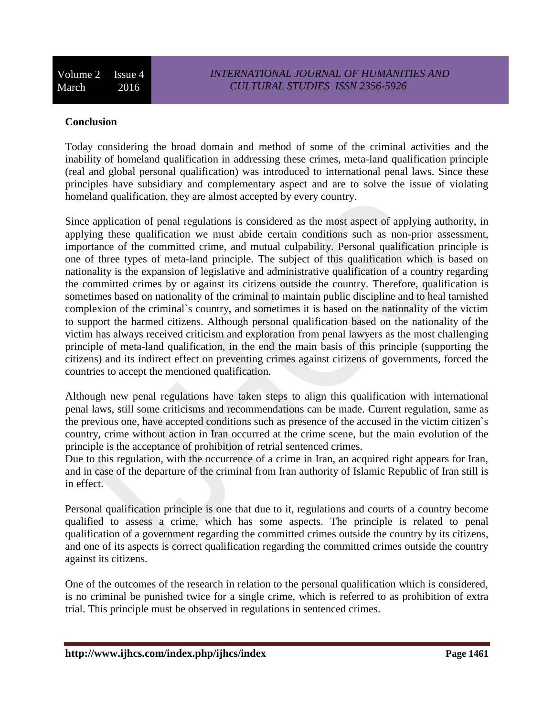### **Conclusion**

Today considering the broad domain and method of some of the criminal activities and the inability of homeland qualification in addressing these crimes, meta-land qualification principle (real and global personal qualification) was introduced to international penal laws. Since these principles have subsidiary and complementary aspect and are to solve the issue of violating homeland qualification, they are almost accepted by every country.

Since application of penal regulations is considered as the most aspect of applying authority, in applying these qualification we must abide certain conditions such as non-prior assessment, importance of the committed crime, and mutual culpability. Personal qualification principle is one of three types of meta-land principle. The subject of this qualification which is based on nationality is the expansion of legislative and administrative qualification of a country regarding the committed crimes by or against its citizens outside the country. Therefore, qualification is sometimes based on nationality of the criminal to maintain public discipline and to heal tarnished complexion of the criminal`s country, and sometimes it is based on the nationality of the victim to support the harmed citizens. Although personal qualification based on the nationality of the victim has always received criticism and exploration from penal lawyers as the most challenging principle of meta-land qualification, in the end the main basis of this principle (supporting the citizens) and its indirect effect on preventing crimes against citizens of governments, forced the countries to accept the mentioned qualification.

Although new penal regulations have taken steps to align this qualification with international penal laws, still some criticisms and recommendations can be made. Current regulation, same as the previous one, have accepted conditions such as presence of the accused in the victim citizen`s country, crime without action in Iran occurred at the crime scene, but the main evolution of the principle is the acceptance of prohibition of retrial sentenced crimes.

Due to this regulation, with the occurrence of a crime in Iran, an acquired right appears for Iran, and in case of the departure of the criminal from Iran authority of Islamic Republic of Iran still is in effect.

Personal qualification principle is one that due to it, regulations and courts of a country become qualified to assess a crime, which has some aspects. The principle is related to penal qualification of a government regarding the committed crimes outside the country by its citizens, and one of its aspects is correct qualification regarding the committed crimes outside the country against its citizens.

One of the outcomes of the research in relation to the personal qualification which is considered, is no criminal be punished twice for a single crime, which is referred to as prohibition of extra trial. This principle must be observed in regulations in sentenced crimes.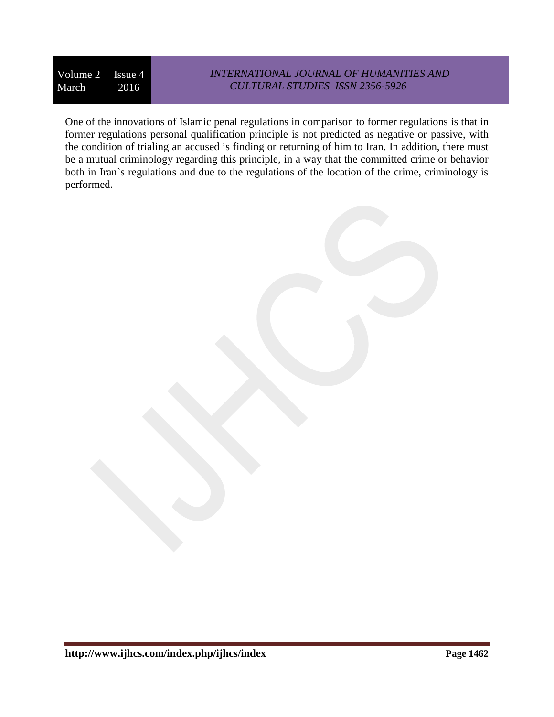### *INTERNATIONAL JOURNAL OF HUMANITIES AND CULTURAL STUDIES ISSN 2356-5926*

One of the innovations of Islamic penal regulations in comparison to former regulations is that in former regulations personal qualification principle is not predicted as negative or passive, with the condition of trialing an accused is finding or returning of him to Iran. In addition, there must be a mutual criminology regarding this principle, in a way that the committed crime or behavior both in Iran`s regulations and due to the regulations of the location of the crime, criminology is performed.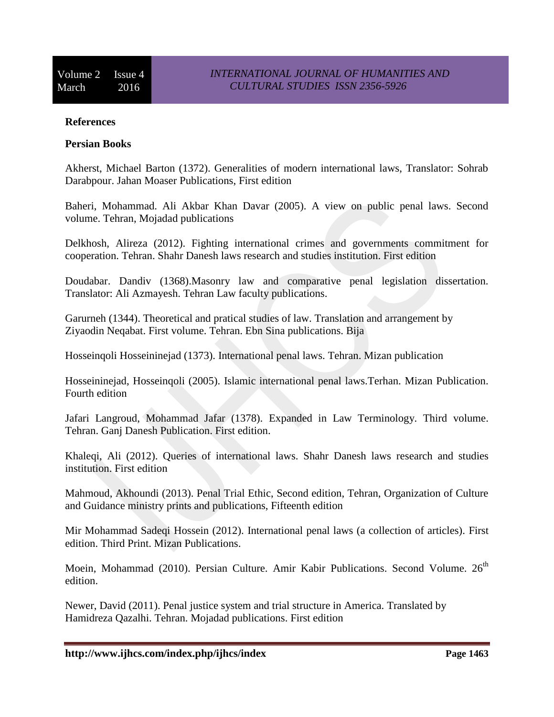#### **References**

#### **Persian Books**

Akherst, Michael Barton (1372). Generalities of modern international laws, Translator: Sohrab Darabpour. Jahan Moaser Publications, First edition

Baheri, Mohammad. Ali Akbar Khan Davar (2005). A view on public penal laws. Second volume. Tehran, Mojadad publications

Delkhosh, Alireza (2012). Fighting international crimes and governments commitment for cooperation. Tehran. Shahr Danesh laws research and studies institution. First edition

Doudabar. Dandiv (1368).Masonry law and comparative penal legislation dissertation. Translator: Ali Azmayesh. Tehran Law faculty publications.

Garurneh (1344). Theoretical and pratical studies of law. Translation and arrangement by Ziyaodin Neqabat. First volume. Tehran. Ebn Sina publications. Bija

Hosseinqoli Hosseininejad (1373). International penal laws. Tehran. Mizan publication

Hosseininejad, Hosseinqoli (2005). Islamic international penal laws.Terhan. Mizan Publication. Fourth edition

Jafari Langroud, Mohammad Jafar (1378). Expanded in Law Terminology. Third volume. Tehran. Ganj Danesh Publication. First edition.

Khaleqi, Ali (2012). Queries of international laws. Shahr Danesh laws research and studies institution. First edition

Mahmoud, Akhoundi (2013). Penal Trial Ethic, Second edition, Tehran, Organization of Culture and Guidance ministry prints and publications, Fifteenth edition

Mir Mohammad Sadeqi Hossein (2012). International penal laws (a collection of articles). First edition. Third Print. Mizan Publications.

Moein, Mohammad (2010). Persian Culture. Amir Kabir Publications. Second Volume. 26<sup>th</sup> edition.

Newer, David (2011). Penal justice system and trial structure in America. Translated by Hamidreza Qazalhi. Tehran. Mojadad publications. First edition